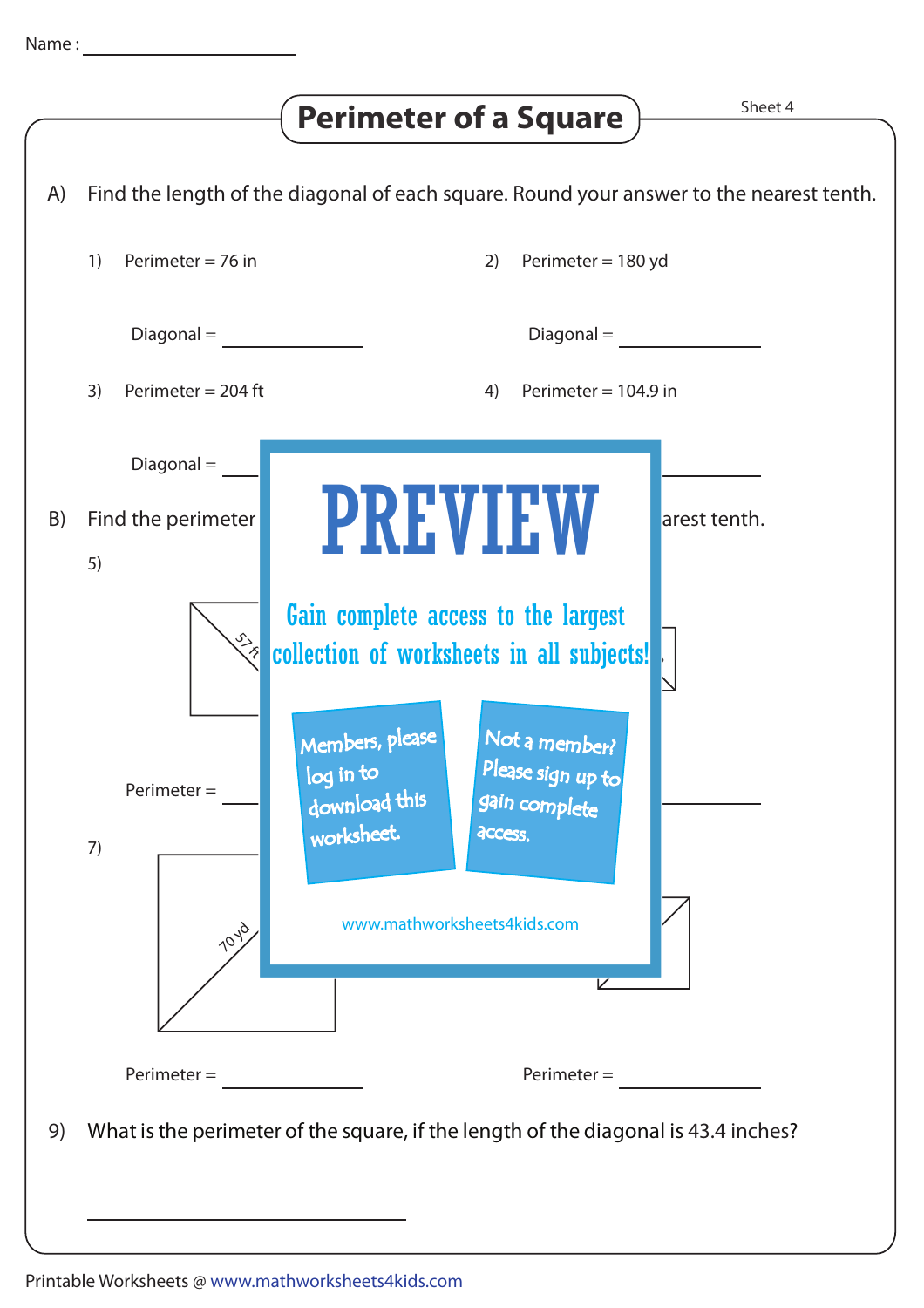